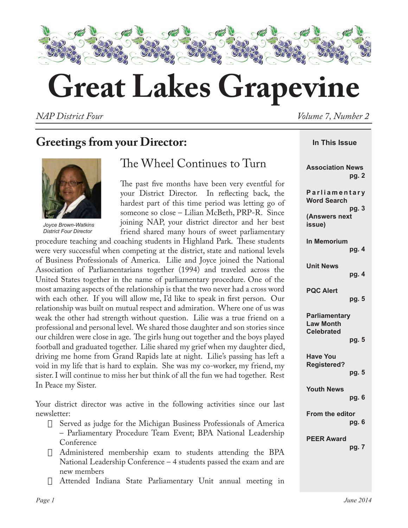

# **Great Lakes Grapevine**

*NAP District Four Volume 7, Number 2*

# **Greetings from your Director:**



*Joyce Brown-Watkins District Four Director*

## The Wheel Continues to Turn

The past five months have been very eventful for your District Director. In reflecting back, the hardest part of this time period was letting go of someone so close – Lilian McBeth, PRP-R. Since joining NAP, your district director and her best friend shared many hours of sweet parliamentary

procedure teaching and coaching students in Highland Park. These students were very successful when competing at the district, state and national levels of Business Professionals of America. Lilie and Joyce joined the National Association of Parliamentarians together (1994) and traveled across the United States together in the name of parliamentary procedure. One of the most amazing aspects of the relationship is that the two never had a cross word with each other. If you will allow me, I'd like to speak in first person. Our relationship was built on mutual respect and admiration. Where one of us was weak the other had strength without question. Lilie was a true friend on a professional and personal level. We shared those daughter and son stories since our children were close in age. The girls hung out together and the boys played football and graduated together. Lilie shared my grief when my daughter died, driving me home from Grand Rapids late at night. Lilie's passing has left a void in my life that is hard to explain. She was my co-worker, my friend, my sister. I will continue to miss her but think of all the fun we had together. Rest In Peace my Sister.

Your district director was active in the following activities since our last newsletter:

- $\Box$  Served as judge for the Michigan Business Professionals of America – Parliamentary Procedure Team Event; BPA National Leadership Conference
- $\Box$  Administered membership exam to students attending the BPA National Leadership Conference – 4 students passed the exam and are new members
- Attended Indiana State Parliamentary Unit annual meeting in

| In This Issue                                                          |  |  |  |  |  |  |  |  |  |  |
|------------------------------------------------------------------------|--|--|--|--|--|--|--|--|--|--|
| <b>Association News</b><br>pg. 2                                       |  |  |  |  |  |  |  |  |  |  |
| Parliamentary<br><b>Word Search</b><br>pg. 3                           |  |  |  |  |  |  |  |  |  |  |
| (Answers next<br>issue)                                                |  |  |  |  |  |  |  |  |  |  |
| <b>In Memorium</b><br>pg. 4                                            |  |  |  |  |  |  |  |  |  |  |
| <b>Unit News</b><br>pg. 4                                              |  |  |  |  |  |  |  |  |  |  |
| <b>PQC Alert</b><br>pg. 5                                              |  |  |  |  |  |  |  |  |  |  |
| <b>Parliamentary</b><br><b>Law Month</b><br><b>Celebrated</b><br>pg. 5 |  |  |  |  |  |  |  |  |  |  |
| <b>Have You</b><br><b>Registered?</b><br>pg. 5                         |  |  |  |  |  |  |  |  |  |  |
| <b>Youth News</b><br>pg. 6                                             |  |  |  |  |  |  |  |  |  |  |
| From the editor<br>pg. 6                                               |  |  |  |  |  |  |  |  |  |  |
| <b>PEER Award</b><br>pg. 7                                             |  |  |  |  |  |  |  |  |  |  |
|                                                                        |  |  |  |  |  |  |  |  |  |  |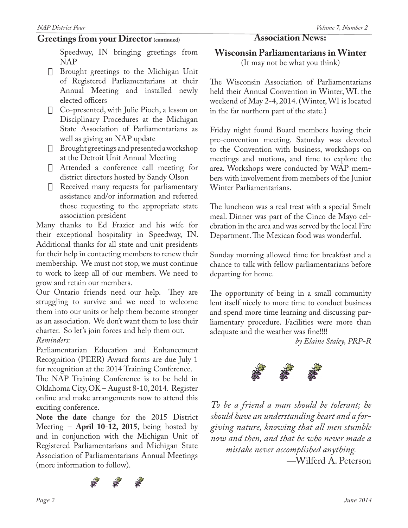#### Greetings from your Director (continued) **Association News:**

*NAP District Four Volume 7, Number 2*

Speedway, IN bringing greetings from NAP

- $\Box$  Brought greetings to the Michigan Unit of Registered Parliamentarians at their Annual Meeting and installed newly elected officers
- $\Box$  Co-presented, with Julie Pioch, a lesson on Disciplinary Procedures at the Michigan State Association of Parliamentarians as well as giving an NAP update
- $\Box$  Brought greetings and presented a workshop at the Detroit Unit Annual Meeting
- $\Box$  Attended a conference call meeting for district directors hosted by Sandy Olson
- $\Box$  Received many requests for parliamentary assistance and/or information and referred those requesting to the appropriate state association president

Many thanks to Ed Frazier and his wife for their exceptional hospitality in Speedway, IN. Additional thanks for all state and unit presidents for their help in contacting members to renew their membership. We must not stop, we must continue to work to keep all of our members. We need to grow and retain our members.

Our Ontario friends need our help. They are struggling to survive and we need to welcome them into our units or help them become stronger as an association. We don't want them to lose their charter. So let's join forces and help them out.

#### *Reminders:*

Parliamentarian Education and Enhancement Recognition (PEER) Award forms are due July 1 for recognition at the 2014 Training Conference.

The NAP Training Conference is to be held in Oklahoma City, OK – August 8-10, 2014. Register online and make arrangements now to attend this exciting conference.

**Note the date** change for the 2015 District Meeting – **April 10-12, 2015**, being hosted by and in conjunction with the Michigan Unit of Registered Parliamentarians and Michigan State Association of Parliamentarians Annual Meetings (more information to follow).



**Wisconsin Parliamentarians in Winter** (It may not be what you think)

The Wisconsin Association of Parliamentarians held their Annual Convention in Winter, WI. the weekend of May 2-4, 2014. (Winter, WI is located in the far northern part of the state.)

Friday night found Board members having their pre-convention meeting. Saturday was devoted to the Convention with business, workshops on meetings and motions, and time to explore the area. Workshops were conducted by WAP members with involvement from members of the Junior Winter Parliamentarians.

The luncheon was a real treat with a special Smelt meal. Dinner was part of the Cinco de Mayo celebration in the area and was served by the local Fire Department. The Mexican food was wonderful.

Sunday morning allowed time for breakfast and a chance to talk with fellow parliamentarians before departing for home.

The opportunity of being in a small community lent itself nicely to more time to conduct business and spend more time learning and discussing parliamentary procedure. Facilities were more than adequate and the weather was fine!!!!

*by Elaine Staley, PRP-R*



*To be a friend a man should be tolerant; he should have an understanding heart and a forgiving nature, knowing that all men stumble now and then, and that he who never made a mistake never accomplished anything. —*Wilferd A. Peterson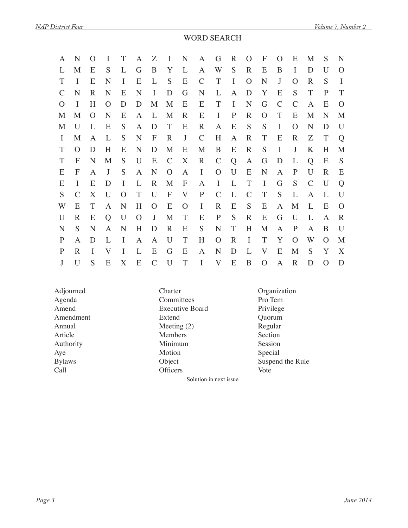#### WORD SEARCH

| A             | N        | $\Omega$ | I            | T        | A        | Ζ             | I                | N           | A             | G             | R            | $\Omega$      | F              | $\Omega$       | E             | M             | S        | N           |
|---------------|----------|----------|--------------|----------|----------|---------------|------------------|-------------|---------------|---------------|--------------|---------------|----------------|----------------|---------------|---------------|----------|-------------|
|               | M        | E        | S            |          | G        | B             | Y                | L           | A             | W             | S            | $\mathbb{R}$  | E              | B              | I             | D             | U        | O           |
| Т             | I        | E        | N            | I        | E        | L             | S                | E           | $\mathcal{C}$ | T             | I            | $\Omega$      | N              | J              | O             | R             | S        | I           |
| $\mathcal{C}$ | N        | R        | N            | E        | N        | I             | D                | G           | N             | L             | $\mathbf{A}$ | D             | Y              | E              | S             | T             | P        | T           |
| $\Omega$      | I        | H        | $\Omega$     | D        | D        | M             | M                | E           | E             | T             | $\mathbf I$  | $\mathbf N$   | G              | $\overline{C}$ | $\mathcal{C}$ | A             | E        | O           |
| M             | M        | $\Omega$ | N            | E        | A        | L             | M                | $\mathbf R$ | E             | I             | $\mathbf{P}$ | $\mathbf R$   | $\Omega$       | T              | E             | M             | N        | M           |
| M             | U        | L        | E            | S        | A        | D             | T                | E           | R             | A             | E            | S             | S              | I              | O             | N             | D        | U           |
| $\mathbf{I}$  | M        | A        | L            | S        | N        | F             | $\mathbf R$      | J           | $\mathcal{C}$ | H             | A            | $\mathbf R$   | T              | E              | $\mathbf R$   | Ζ             | T        | Q           |
| Т             | $\Omega$ | D        | H            | E        | N        | D             | M                | E           | M             | B             | E            | $\mathbf R$   | S              | $\bf{I}$       | J             | K             | H        | M           |
| T             | F        | N        | M            | S        | U        | E             | $\mathcal{C}$    | X           | $\mathbf R$   | $\mathcal{C}$ | Q            | A             | G              | D              | L             | Q             | E        | S           |
| E             | F        | A        | J            | S        | A        | N             | $\Omega$         | A           | $\bf{I}$      | $\Omega$      | U            | E             | $\mathbf N$    | A              | $\mathbf{P}$  | U             | R        | E           |
| E             | I        | E        | D            | I        | L        | $\mathbf R$   | M                | F           | A             | I             | L            | T             | I              | G              | S             | $\mathcal{C}$ | U        | Q           |
| S             |          | X        | $\mathbf{U}$ | $\Omega$ | T        | U             | $\boldsymbol{F}$ | $\rm V$     | $\mathbf P$   | $\mathcal{C}$ | L            | $\mathcal{C}$ | T              | S              | L             | A             |          | U           |
| W             | E        | T        | A            | N        | H        | $\Omega$      | E                | O           | $\bf{I}$      | $\mathbf R$   | E            | S             | E              | A              | M             | L             | E        | $\Omega$    |
| U             | R        | E        | Q            | U        | $\Omega$ | J             | M                | T           | E             | $\mathbf P$   | S            | $\mathbf R$   | E              | G              | U             | L             | A        | $\mathbf R$ |
| N             | S        | N        | A            | N        | H        | D             | $\mathbf R$      | E           | S             | $\mathbf N$   | T            | H             | M              | A              | $\mathbf{P}$  | A             | B        | U           |
| P             | A        | D        | L            | I        | A        | A             | U                | T           | H             | $\Omega$      | R            | I             | T              | Y              | $\Omega$      | W             | $\Omega$ | M           |
| P             | R        | I        | V            | I        | L        | E             | G                | E           | A             | N             | D            | L             | V              | E              | M             | S             | Y        | X           |
| J             | U        | S        | E            | X        | E        | $\mathcal{C}$ | U                | T           | I             | $\bf V$       | E            | B             | $\overline{O}$ | A              | $\mathbf R$   | D             |          | D           |

Amendment Extend<br>
Annual Meetins

Agenda Committees Pro Tem<br>Amend Executive Board Privilege Executive Board<br>Extend Privilege<br>Quorum Meeting (2) Regular Article Members Section Authority Minimum Session<br>Aye Motion Special Aye Motion Motion Special Call Call Children Children Children Control Control Control Control Control Control Control Control Control Control Control Control Control Control Control Control Control Control Control Control Control Control Control C

Adjourned Charter Charter Organization<br>Agenda Committees Pro Tem Bylaws Object Suspend the Rule

Solution in next issue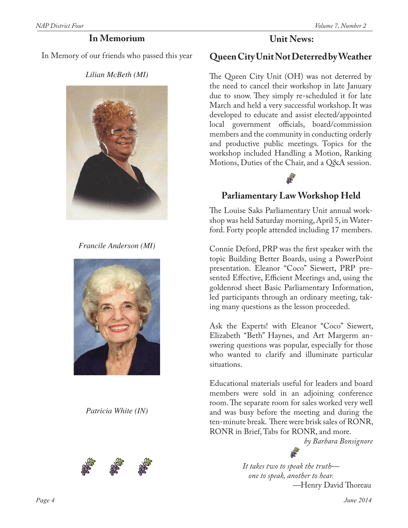#### **In Memorium**

In Memory of our friends who passed this year

*Lilian McBeth (MI)*



*Francile Anderson (MI)*



*Patricia White (IN)*





## **Queen City Unit Not Deterred by Weather**

The Queen City Unit (OH) was not deterred by the need to cancel their workshop in late January due to snow. They simply re-scheduled it for late March and held a very successful workshop. It was developed to educate and assist elected/appointed local government officials, board/commission members and the community in conducting orderly and productive public meetings. Topics for the workshop included Handling a Motion, Ranking Motions, Duties of the Chair, and a Q&A session.



## **Parliamentary Law Workshop Held**

The Louise Saks Parliamentary Unit annual workshop was held Saturday morning, April 5, in Waterford. Forty people attended including 17 members.

Connie Deford, PRP was the first speaker with the topic Building Better Boards, using a PowerPoint presentation. Eleanor "Coco" Siewert, PRP presented Effective, Efficient Meetings and, using the goldenrod sheet Basic Parliamentary Information, led participants through an ordinary meeting, taking many questions as the lesson proceeded.

Ask the Experts! with Eleanor "Coco" Siewert, Elizabeth "Beth" Haynes, and Art Margerm answering questions was popular, especially for those who wanted to clarify and illuminate particular situations.

Educational materials useful for leaders and board members were sold in an adjoining conference room. The separate room for sales worked very well and was busy before the meeting and during the ten-minute break. There were brisk sales of RONR, RONR in Brief, Tabs for RONR, and more.

*by Barbara Bonsignore*



*It takes two to speak the truth one to speak, another to hear. —*Henry David Thoreau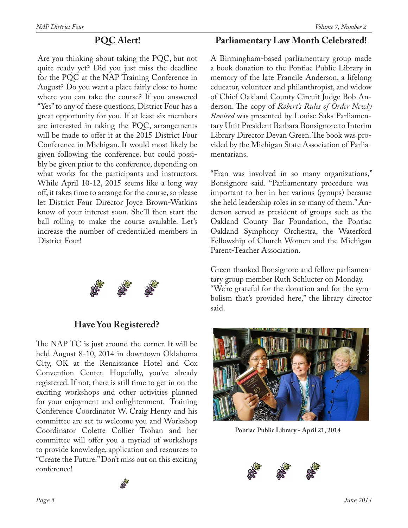#### **PQC Alert!**

Are you thinking about taking the PQC, but not quite ready yet? Did you just miss the deadline for the PQC at the NAP Training Conference in August? Do you want a place fairly close to home where you can take the course? If you answered "Yes" to any of these questions, District Four has a great opportunity for you. If at least six members are interested in taking the PQC, arrangements will be made to offer it at the 2015 District Four Conference in Michigan. It would most likely be given following the conference, but could possibly be given prior to the conference, depending on what works for the participants and instructors. While April 10-12, 2015 seems like a long way off, it takes time to arrange for the course, so please let District Four Director Joyce Brown-Watkins know of your interest soon. She'll then start the ball rolling to make the course available. Let's increase the number of credentialed members in District Four!



**Have You Registered?**

The NAP TC is just around the corner. It will be held August 8-10, 2014 in downtown Oklahoma City, OK at the Renaissance Hotel and Cox Convention Center. Hopefully, you've already registered. If not, there is still time to get in on the exciting workshops and other activities planned for your enjoyment and enlightenment. Training Conference Coordinator W. Craig Henry and his committee are set to welcome you and Workshop Coordinator Colette Collier Trohan and her committee will offer you a myriad of workshops to provide knowledge, application and resources to "Create the Future." Don't miss out on this exciting conference!

#### **Parliamentary Law Month Celebrated!**

A Birmingham-based parliamentary group made a book donation to the Pontiac Public Library in memory of the late Francile Anderson, a lifelong educator, volunteer and philanthropist, and widow of Chief Oakland County Circuit Judge Bob Anderson. The copy of *Robert's Rules of Order Newly Revised* was presented by Louise Saks Parliamentary Unit President Barbara Bonsignore to Interim Library Director Devan Green. The book was provided by the Michigan State Association of Parliamentarians.

"Fran was involved in so many organizations," Bonsignore said. "Parliamentary procedure was important to her in her various (groups) because she held leadership roles in so many of them." Anderson served as president of groups such as the Oakland County Bar Foundation, the Pontiac Oakland Symphony Orchestra, the Waterford Fellowship of Church Women and the Michigan Parent-Teacher Association.

Green thanked Bonsignore and fellow parliamentary group member Ruth Schlucter on Monday. "We're grateful for the donation and for the symbolism that's provided here," the library director said.



**Pontiac Public Library - April 21, 2014**

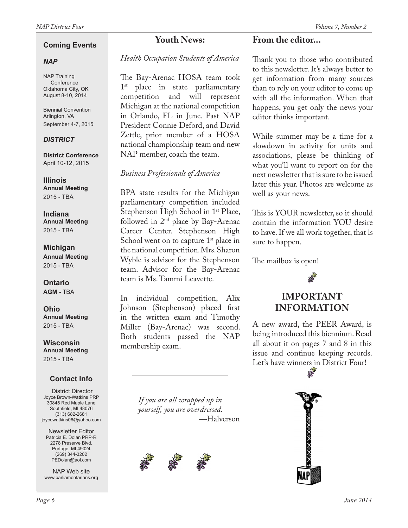#### **Coming Events**

#### *NAP*

NAP Training Conference Oklahoma City, OK August 8-10, 2014

Biennial Convention Arlington, VA September 4-7, 2015

#### *DISTRICT*

**District Conference** April 10-12, 2015

**Illinois Annual Meeting** 2015 - TBA

**Indiana Annual Meeting** 2015 - TBA

#### **Michigan**

**Annual Meeting** 2015 - TBA

**Ontario AGM -** TBA

**Ohio Annual Meeting** 2015 - TBA

**Wisconsin Annual Meeting** 2015 - TBA

#### **Contact Info**

District Director Joyce Brown-Watkins PRP 30845 Red Maple Lane Southfield, MI 48076 (313) 682-2681 joycewatkins06@yahoo.com

Newsletter Editor Patricia E. Dolan PRP-R 2278 Preserve Blvd. Portage, MI 49024 (269) 344-3202 PEDolan@aol.com

NAP Web site www.parliamentarians.org

## **Youth News:**

*Health Occupation Students of America*

The Bay-Arenac HOSA team took 1<sup>st</sup> place in state parliamentary competition and will represent Michigan at the national competition in Orlando, FL in June. Past NAP President Connie Deford, and David Zettle, prior member of a HOSA national championship team and new NAP member, coach the team.

#### *Business Professionals of America*

BPA state results for the Michigan parliamentary competition included Stephenson High School in 1<sup>st</sup> Place, followed in  $2<sup>nd</sup>$  place by Bay-Arenac Career Center. Stephenson High School went on to capture  $1<sup>st</sup>$  place in the national competition. Mrs. Sharon Wyble is advisor for the Stephenson team. Advisor for the Bay-Arenac team is Ms. Tammi Leavette.

In individual competition, Alix Johnson (Stephenson) placed first in the written exam and Timothy Miller (Bay-Arenac) was second. Both students passed the NAP membership exam.

> *If you are all wrapped up in yourself, you are overdressed.*  **—**Halverson



#### **From the editor...**

Thank you to those who contributed to this newsletter. It's always better to get information from many sources than to rely on your editor to come up with all the information. When that happens, you get only the news your editor thinks important.

While summer may be a time for a slowdown in activity for units and associations, please be thinking of what you'll want to report on for the next newsletter that is sure to be issued later this year. Photos are welcome as well as your news.

This is YOUR newsletter, so it should contain the information YOU desire to have. If we all work together, that is sure to happen.

The mailbox is open!



A new award, the PEER Award, is being introduced this biennium. Read all about it on pages 7 and 8 in this issue and continue keeping records. Let's have winners in District Four!

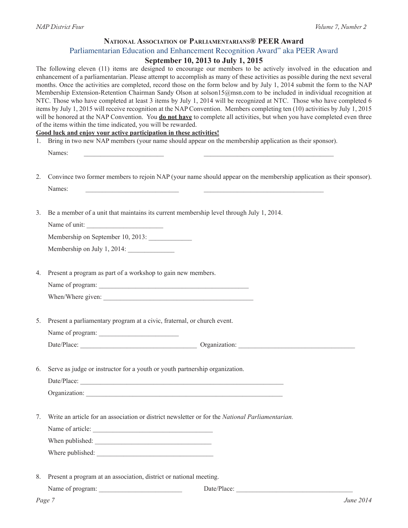#### **National Association of Parliamentarians® PEER Award** Parliamentarian Education and Enhancement Recognition Award" aka PEER Award

#### **September 10, 2013 to July 1, 2015**

| 1. | The following eleven (11) items are designed to encourage our members to be actively involved in the education and<br>enhancement of a parliamentarian. Please attempt to accomplish as many of these activities as possible during the next several<br>months. Once the activities are completed, record those on the form below and by July 1, 2014 submit the form to the NAP<br>Membership Extension-Retention Chairman Sandy Olson at solson15@msn.com to be included in individual recognition at<br>NTC. Those who have completed at least 3 items by July 1, 2014 will be recognized at NTC. Those who have completed 6<br>items by July 1, 2015 will receive recognition at the NAP Convention. Members completing ten (10) activities by July 1, 2015<br>will be honored at the NAP Convention. You <b>do not have</b> to complete all activities, but when you have completed even three<br>of the items within the time indicated, you will be rewarded.<br>Good luck and enjoy your active participation in these activities!<br>Bring in two new NAP members (your name should appear on the membership application as their sponsor). |  |  |  |  |  |  |
|----|------------------------------------------------------------------------------------------------------------------------------------------------------------------------------------------------------------------------------------------------------------------------------------------------------------------------------------------------------------------------------------------------------------------------------------------------------------------------------------------------------------------------------------------------------------------------------------------------------------------------------------------------------------------------------------------------------------------------------------------------------------------------------------------------------------------------------------------------------------------------------------------------------------------------------------------------------------------------------------------------------------------------------------------------------------------------------------------------------------------------------------------------------|--|--|--|--|--|--|
|    | Names:                                                                                                                                                                                                                                                                                                                                                                                                                                                                                                                                                                                                                                                                                                                                                                                                                                                                                                                                                                                                                                                                                                                                               |  |  |  |  |  |  |
| 2. | Convince two former members to rejoin NAP (your name should appear on the membership application as their sponsor).<br>Names:<br>the control of the control of the control of the control of the control of the control of                                                                                                                                                                                                                                                                                                                                                                                                                                                                                                                                                                                                                                                                                                                                                                                                                                                                                                                           |  |  |  |  |  |  |
| 3. | Be a member of a unit that maintains its current membership level through July 1, 2014.<br>Name of unit:                                                                                                                                                                                                                                                                                                                                                                                                                                                                                                                                                                                                                                                                                                                                                                                                                                                                                                                                                                                                                                             |  |  |  |  |  |  |
|    | Membership on September 10, 2013:<br>Membership on July 1, 2014:                                                                                                                                                                                                                                                                                                                                                                                                                                                                                                                                                                                                                                                                                                                                                                                                                                                                                                                                                                                                                                                                                     |  |  |  |  |  |  |
| 4. | Present a program as part of a workshop to gain new members.                                                                                                                                                                                                                                                                                                                                                                                                                                                                                                                                                                                                                                                                                                                                                                                                                                                                                                                                                                                                                                                                                         |  |  |  |  |  |  |
| 5. | Present a parliamentary program at a civic, fraternal, or church event.<br>Name of program:                                                                                                                                                                                                                                                                                                                                                                                                                                                                                                                                                                                                                                                                                                                                                                                                                                                                                                                                                                                                                                                          |  |  |  |  |  |  |
|    | Date/Place: Organization: Organization:                                                                                                                                                                                                                                                                                                                                                                                                                                                                                                                                                                                                                                                                                                                                                                                                                                                                                                                                                                                                                                                                                                              |  |  |  |  |  |  |
| 6. | Serve as judge or instructor for a youth or youth partnership organization.                                                                                                                                                                                                                                                                                                                                                                                                                                                                                                                                                                                                                                                                                                                                                                                                                                                                                                                                                                                                                                                                          |  |  |  |  |  |  |
| 7. | Write an article for an association or district newsletter or for the National Parliamentarian.<br>Name of article:                                                                                                                                                                                                                                                                                                                                                                                                                                                                                                                                                                                                                                                                                                                                                                                                                                                                                                                                                                                                                                  |  |  |  |  |  |  |
| 8. | Present a program at an association, district or national meeting.                                                                                                                                                                                                                                                                                                                                                                                                                                                                                                                                                                                                                                                                                                                                                                                                                                                                                                                                                                                                                                                                                   |  |  |  |  |  |  |
|    | Name of program:                                                                                                                                                                                                                                                                                                                                                                                                                                                                                                                                                                                                                                                                                                                                                                                                                                                                                                                                                                                                                                                                                                                                     |  |  |  |  |  |  |
|    | June 2014<br>Page 7                                                                                                                                                                                                                                                                                                                                                                                                                                                                                                                                                                                                                                                                                                                                                                                                                                                                                                                                                                                                                                                                                                                                  |  |  |  |  |  |  |